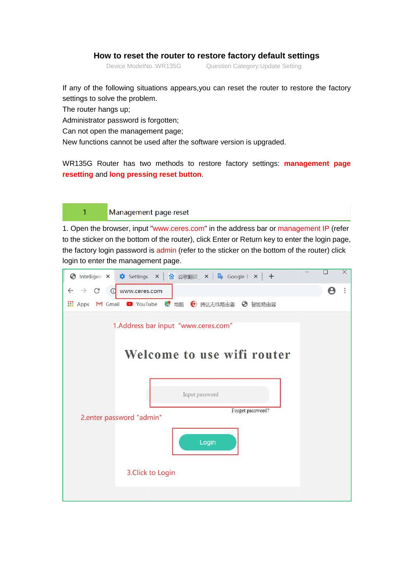## **How to reset the router to restore factory default settings**

Device ModelNo.: WR135G

ModelNo.:WR135G **Question Category:Update Setting** 

If any of the following situations appears,you can reset the router to restore the factory settings to solve the problem.

The router hangs up;

Administrator password is forgotten;

Can not open the management page;

New functions cannot be used after the software version is upgraded.

WR135G Router has two methods to restore factory settings: **management page resetting** and **long pressing re reset button**.

 $\mathbf{1}$ 

## Management page reset

1. Open the browser, input "www.ceres.com" in the address bar or management IP (refer to the sticker on the bottom of the router), click Enter or Return key to enter the login page, the factory login password is admin (refer to the sticker on the bottom of the router) click login to enter the management page.

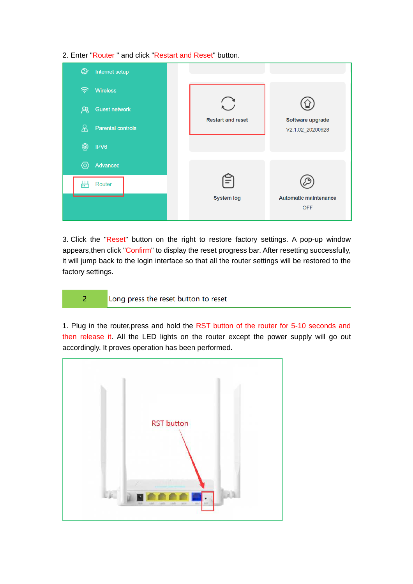2. Enter "Router " and click "Restart and Reset" button.

| $\circledcirc$<br>Internet setup |                          |                                            |
|----------------------------------|--------------------------|--------------------------------------------|
| ぞ<br><b>Wireless</b>             |                          |                                            |
| $\aleph$<br><b>Guest network</b> |                          |                                            |
| 8<br>Parental controls           | <b>Restart and reset</b> | Software upgrade<br>V2.1.02_20200928       |
| $^{\circledR}$<br>IPV6           |                          |                                            |
| ⁄ම<br>Advanced                   |                          |                                            |
| μ.<br>Router                     | ÷                        |                                            |
|                                  | <b>System log</b>        | <b>Automatic maintenance</b><br><b>OFF</b> |

3. Click the "Reset" button on the right to restore factory settings. A pop-up window appears,then click "Confirm" to display the reset progress bar. After resetting successfully, it will jump back to the login interface so that all the router settings will be restored to the factory settings.

Long press the reset button to reset

 $\overline{2}$ 

1. Plug in the router,press and hold the RST button of the router for 5-10 seconds and then release it. All the LED lights on the router except the power supply will go out accordingly. It proves operation has been performed.